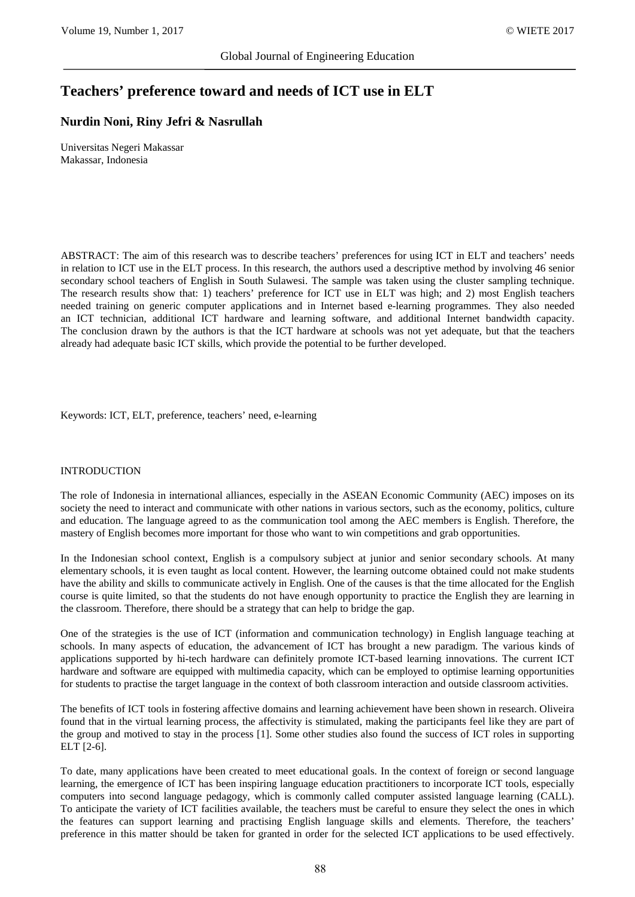# **Teachers' preference toward and needs of ICT use in ELT**

## **Nurdin Noni, Riny Jefri & Nasrullah**

Universitas Negeri Makassar Makassar, Indonesia

ABSTRACT: The aim of this research was to describe teachers' preferences for using ICT in ELT and teachers' needs in relation to ICT use in the ELT process. In this research, the authors used a descriptive method by involving 46 senior secondary school teachers of English in South Sulawesi. The sample was taken using the cluster sampling technique. The research results show that: 1) teachers' preference for ICT use in ELT was high; and 2) most English teachers needed training on generic computer applications and in Internet based e-learning programmes. They also needed an ICT technician, additional ICT hardware and learning software, and additional Internet bandwidth capacity. The conclusion drawn by the authors is that the ICT hardware at schools was not yet adequate, but that the teachers already had adequate basic ICT skills, which provide the potential to be further developed.

Keywords: ICT, ELT, preference, teachers' need, e-learning

#### INTRODUCTION

The role of Indonesia in international alliances, especially in the ASEAN Economic Community (AEC) imposes on its society the need to interact and communicate with other nations in various sectors, such as the economy, politics, culture and education. The language agreed to as the communication tool among the AEC members is English. Therefore, the mastery of English becomes more important for those who want to win competitions and grab opportunities.

In the Indonesian school context, English is a compulsory subject at junior and senior secondary schools. At many elementary schools, it is even taught as local content. However, the learning outcome obtained could not make students have the ability and skills to communicate actively in English. One of the causes is that the time allocated for the English course is quite limited, so that the students do not have enough opportunity to practice the English they are learning in the classroom. Therefore, there should be a strategy that can help to bridge the gap.

One of the strategies is the use of ICT (information and communication technology) in English language teaching at schools. In many aspects of education, the advancement of ICT has brought a new paradigm. The various kinds of applications supported by hi-tech hardware can definitely promote ICT-based learning innovations. The current ICT hardware and software are equipped with multimedia capacity, which can be employed to optimise learning opportunities for students to practise the target language in the context of both classroom interaction and outside classroom activities.

The benefits of ICT tools in fostering affective domains and learning achievement have been shown in research. Oliveira found that in the virtual learning process, the affectivity is stimulated, making the participants feel like they are part of the group and motived to stay in the process [1]. Some other studies also found the success of ICT roles in supporting ELT [2-6].

To date, many applications have been created to meet educational goals. In the context of foreign or second language learning, the emergence of ICT has been inspiring language education practitioners to incorporate ICT tools, especially computers into second language pedagogy, which is commonly called computer assisted language learning (CALL). To anticipate the variety of ICT facilities available, the teachers must be careful to ensure they select the ones in which the features can support learning and practising English language skills and elements. Therefore, the teachers' preference in this matter should be taken for granted in order for the selected ICT applications to be used effectively.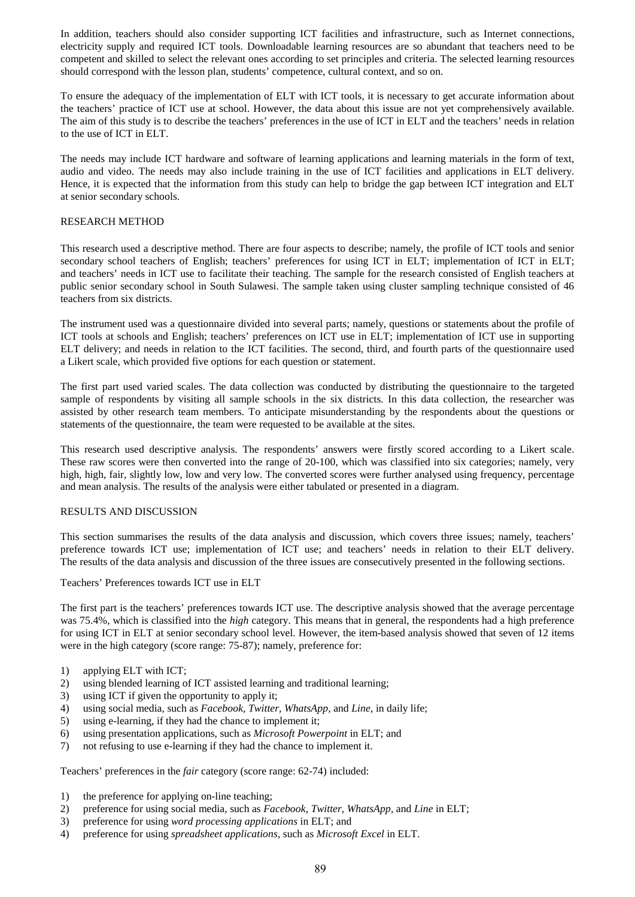In addition, teachers should also consider supporting ICT facilities and infrastructure, such as Internet connections, electricity supply and required ICT tools. Downloadable learning resources are so abundant that teachers need to be competent and skilled to select the relevant ones according to set principles and criteria. The selected learning resources should correspond with the lesson plan, students' competence, cultural context, and so on.

To ensure the adequacy of the implementation of ELT with ICT tools, it is necessary to get accurate information about the teachers' practice of ICT use at school. However, the data about this issue are not yet comprehensively available. The aim of this study is to describe the teachers' preferences in the use of ICT in ELT and the teachers' needs in relation to the use of ICT in ELT.

The needs may include ICT hardware and software of learning applications and learning materials in the form of text, audio and video. The needs may also include training in the use of ICT facilities and applications in ELT delivery. Hence, it is expected that the information from this study can help to bridge the gap between ICT integration and ELT at senior secondary schools.

### RESEARCH METHOD

This research used a descriptive method. There are four aspects to describe; namely, the profile of ICT tools and senior secondary school teachers of English; teachers' preferences for using ICT in ELT; implementation of ICT in ELT; and teachers' needs in ICT use to facilitate their teaching. The sample for the research consisted of English teachers at public senior secondary school in South Sulawesi. The sample taken using cluster sampling technique consisted of 46 teachers from six districts.

The instrument used was a questionnaire divided into several parts; namely, questions or statements about the profile of ICT tools at schools and English; teachers' preferences on ICT use in ELT; implementation of ICT use in supporting ELT delivery; and needs in relation to the ICT facilities. The second, third, and fourth parts of the questionnaire used a Likert scale, which provided five options for each question or statement.

The first part used varied scales. The data collection was conducted by distributing the questionnaire to the targeted sample of respondents by visiting all sample schools in the six districts. In this data collection, the researcher was assisted by other research team members. To anticipate misunderstanding by the respondents about the questions or statements of the questionnaire, the team were requested to be available at the sites.

This research used descriptive analysis. The respondents' answers were firstly scored according to a Likert scale. These raw scores were then converted into the range of 20-100, which was classified into six categories; namely, very high, high, fair, slightly low, low and very low. The converted scores were further analysed using frequency, percentage and mean analysis. The results of the analysis were either tabulated or presented in a diagram.

#### RESULTS AND DISCUSSION

This section summarises the results of the data analysis and discussion, which covers three issues; namely, teachers' preference towards ICT use; implementation of ICT use; and teachers' needs in relation to their ELT delivery. The results of the data analysis and discussion of the three issues are consecutively presented in the following sections.

Teachers' Preferences towards ICT use in ELT

The first part is the teachers' preferences towards ICT use. The descriptive analysis showed that the average percentage was 75.4%, which is classified into the *high* category. This means that in general, the respondents had a high preference for using ICT in ELT at senior secondary school level. However, the item-based analysis showed that seven of 12 items were in the high category (score range: 75-87); namely, preference for:

- 1) applying ELT with ICT;
- 2) using blended learning of ICT assisted learning and traditional learning;
- 3) using ICT if given the opportunity to apply it;
- 4) using social media, such as *Facebook, Twitter, WhatsApp,* and *Line,* in daily life;
- 5) using e-learning, if they had the chance to implement it;
- 6) using presentation applications, such as *Microsoft Powerpoint* in ELT; and
- 7) not refusing to use e-learning if they had the chance to implement it.

Teachers' preferences in the *fair* category (score range: 62-74) included:

- 1) the preference for applying on-line teaching;
- 2) preference for using social media, such as *Facebook, Twitter, WhatsApp,* and *Line* in ELT;
- 3) preference for using *word processing applications* in ELT; and
- 4) preference for using *spreadsheet applications*, such as *Microsoft Excel* in ELT.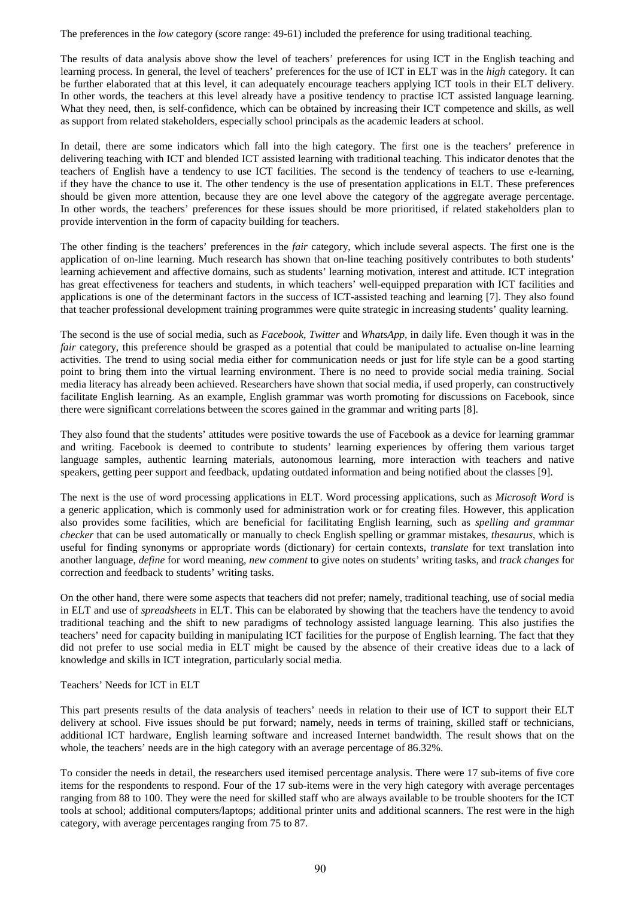The preferences in the *low* category (score range: 49-61) included the preference for using traditional teaching.

The results of data analysis above show the level of teachers' preferences for using ICT in the English teaching and learning process. In general, the level of teachers' preferences for the use of ICT in ELT was in the *high* category. It can be further elaborated that at this level, it can adequately encourage teachers applying ICT tools in their ELT delivery. In other words, the teachers at this level already have a positive tendency to practise ICT assisted language learning. What they need, then, is self-confidence, which can be obtained by increasing their ICT competence and skills, as well as support from related stakeholders, especially school principals as the academic leaders at school.

In detail, there are some indicators which fall into the high category. The first one is the teachers' preference in delivering teaching with ICT and blended ICT assisted learning with traditional teaching. This indicator denotes that the teachers of English have a tendency to use ICT facilities. The second is the tendency of teachers to use e-learning, if they have the chance to use it. The other tendency is the use of presentation applications in ELT. These preferences should be given more attention, because they are one level above the category of the aggregate average percentage. In other words, the teachers' preferences for these issues should be more prioritised, if related stakeholders plan to provide intervention in the form of capacity building for teachers.

The other finding is the teachers' preferences in the *fair* category, which include several aspects. The first one is the application of on-line learning. Much research has shown that on-line teaching positively contributes to both students' learning achievement and affective domains, such as students' learning motivation, interest and attitude. ICT integration has great effectiveness for teachers and students, in which teachers' well-equipped preparation with ICT facilities and applications is one of the determinant factors in the success of ICT-assisted teaching and learning [7]. They also found that teacher professional development training programmes were quite strategic in increasing students' quality learning.

The second is the use of social media, such as *Facebook, Twitter* and *WhatsApp,* in daily life. Even though it was in the *fair* category, this preference should be grasped as a potential that could be manipulated to actualise on-line learning activities. The trend to using social media either for communication needs or just for life style can be a good starting point to bring them into the virtual learning environment. There is no need to provide social media training. Social media literacy has already been achieved. Researchers have shown that social media, if used properly, can constructively facilitate English learning. As an example, English grammar was worth promoting for discussions on Facebook, since there were significant correlations between the scores gained in the grammar and writing parts [8].

They also found that the students' attitudes were positive towards the use of Facebook as a device for learning grammar and writing. Facebook is deemed to contribute to students' learning experiences by offering them various target language samples, authentic learning materials, autonomous learning, more interaction with teachers and native speakers, getting peer support and feedback, updating outdated information and being notified about the classes [9].

The next is the use of word processing applications in ELT. Word processing applications, such as *Microsoft Word* is a generic application, which is commonly used for administration work or for creating files. However, this application also provides some facilities, which are beneficial for facilitating English learning, such as *spelling and grammar checker* that can be used automatically or manually to check English spelling or grammar mistakes, *thesaurus*, which is useful for finding synonyms or appropriate words (dictionary) for certain contexts, *translate* for text translation into another language, *define* for word meaning, *new comment* to give notes on students' writing tasks, and *track changes* for correction and feedback to students' writing tasks.

On the other hand, there were some aspects that teachers did not prefer; namely, traditional teaching, use of social media in ELT and use of *spreadsheets* in ELT. This can be elaborated by showing that the teachers have the tendency to avoid traditional teaching and the shift to new paradigms of technology assisted language learning. This also justifies the teachers' need for capacity building in manipulating ICT facilities for the purpose of English learning. The fact that they did not prefer to use social media in ELT might be caused by the absence of their creative ideas due to a lack of knowledge and skills in ICT integration, particularly social media.

## Teachers' Needs for ICT in ELT

This part presents results of the data analysis of teachers' needs in relation to their use of ICT to support their ELT delivery at school. Five issues should be put forward; namely, needs in terms of training, skilled staff or technicians, additional ICT hardware, English learning software and increased Internet bandwidth. The result shows that on the whole, the teachers' needs are in the high category with an average percentage of 86.32%.

To consider the needs in detail, the researchers used itemised percentage analysis. There were 17 sub-items of five core items for the respondents to respond. Four of the 17 sub-items were in the very high category with average percentages ranging from 88 to 100. They were the need for skilled staff who are always available to be trouble shooters for the ICT tools at school; additional computers/laptops; additional printer units and additional scanners. The rest were in the high category, with average percentages ranging from 75 to 87.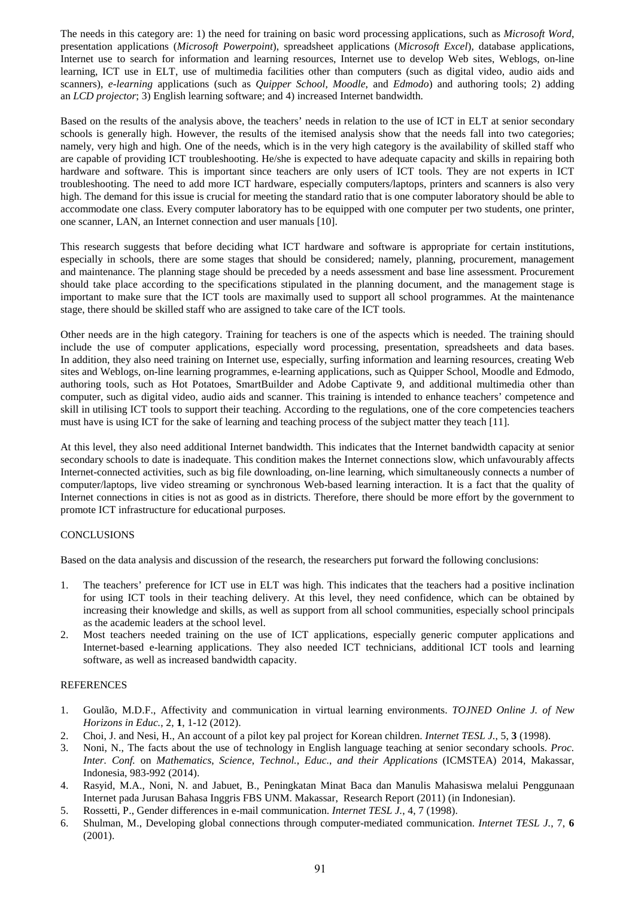The needs in this category are: 1) the need for training on basic word processing applications, such as *Microsoft Word*, presentation applications (*Microsoft Powerpoint*), spreadsheet applications (*Microsoft Excel*), database applications, Internet use to search for information and learning resources, Internet use to develop Web sites, Weblogs, on-line learning, ICT use in ELT, use of multimedia facilities other than computers (such as digital video, audio aids and scanners), *e-learning* applications (such as *Quipper School, Moodle*, and *Edmodo*) and authoring tools; 2) adding an *LCD projector*; 3) English learning software; and 4) increased Internet bandwidth.

Based on the results of the analysis above, the teachers' needs in relation to the use of ICT in ELT at senior secondary schools is generally high. However, the results of the itemised analysis show that the needs fall into two categories; namely, very high and high. One of the needs, which is in the very high category is the availability of skilled staff who are capable of providing ICT troubleshooting. He/she is expected to have adequate capacity and skills in repairing both hardware and software. This is important since teachers are only users of ICT tools. They are not experts in ICT troubleshooting. The need to add more ICT hardware, especially computers/laptops, printers and scanners is also very high. The demand for this issue is crucial for meeting the standard ratio that is one computer laboratory should be able to accommodate one class. Every computer laboratory has to be equipped with one computer per two students, one printer, one scanner, LAN, an Internet connection and user manuals [10].

This research suggests that before deciding what ICT hardware and software is appropriate for certain institutions, especially in schools, there are some stages that should be considered; namely, planning, procurement, management and maintenance. The planning stage should be preceded by a needs assessment and base line assessment. Procurement should take place according to the specifications stipulated in the planning document, and the management stage is important to make sure that the ICT tools are maximally used to support all school programmes. At the maintenance stage, there should be skilled staff who are assigned to take care of the ICT tools.

Other needs are in the high category. Training for teachers is one of the aspects which is needed. The training should include the use of computer applications, especially word processing, presentation, spreadsheets and data bases. In addition, they also need training on Internet use, especially, surfing information and learning resources, creating Web sites and Weblogs, on-line learning programmes, e-learning applications, such as Quipper School, Moodle and Edmodo, authoring tools, such as Hot Potatoes, SmartBuilder and Adobe Captivate 9, and additional multimedia other than computer, such as digital video, audio aids and scanner. This training is intended to enhance teachers' competence and skill in utilising ICT tools to support their teaching. According to the regulations, one of the core competencies teachers must have is using ICT for the sake of learning and teaching process of the subject matter they teach [11].

At this level, they also need additional Internet bandwidth. This indicates that the Internet bandwidth capacity at senior secondary schools to date is inadequate. This condition makes the Internet connections slow, which unfavourably affects Internet-connected activities, such as big file downloading, on-line learning, which simultaneously connects a number of computer/laptops, live video streaming or synchronous Web-based learning interaction. It is a fact that the quality of Internet connections in cities is not as good as in districts. Therefore, there should be more effort by the government to promote ICT infrastructure for educational purposes.

## **CONCLUSIONS**

Based on the data analysis and discussion of the research, the researchers put forward the following conclusions:

- 1. The teachers' preference for ICT use in ELT was high. This indicates that the teachers had a positive inclination for using ICT tools in their teaching delivery. At this level, they need confidence, which can be obtained by increasing their knowledge and skills, as well as support from all school communities, especially school principals as the academic leaders at the school level.
- 2. Most teachers needed training on the use of ICT applications, especially generic computer applications and Internet-based e-learning applications. They also needed ICT technicians, additional ICT tools and learning software, as well as increased bandwidth capacity.

## **REFERENCES**

- 1. Goulão, M.D.F., Affectivity and communication in virtual learning environments. *TOJNED Online J. of New Horizons in Educ.*, 2, **1**, 1-12 (2012).
- 2. Choi, J. and Nesi, H., An account of a pilot key pal project for Korean children. *Internet TESL J.*, 5, **3** (1998).
- 3. Noni, N., The facts about the use of technology in English language teaching at senior secondary schools. *Proc. Inter. Conf.* on *Mathematics*, *Science*, *Technol.*, *Educ.*, *and their Applications* (ICMSTEA) 2014, Makassar, Indonesia, 983-992 (2014).
- 4. Rasyid, M.A., Noni, N. and Jabuet, B., Peningkatan Minat Baca dan Manulis Mahasiswa melalui Penggunaan Internet pada Jurusan Bahasa Inggris FBS UNM. Makassar, Research Report (2011) (in Indonesian).
- 5. Rossetti, P., Gender differences in e-mail communication. *Internet TESL J.*, 4, 7 (1998).
- 6. Shulman, M., Developing global connections through computer-mediated communication. *Internet TESL J.*, 7, **6** (2001).